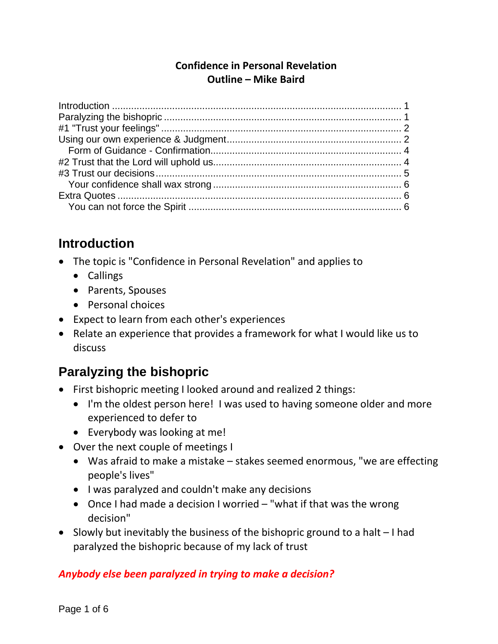#### **Confidence in Personal Revelation Outline – Mike Baird**

## <span id="page-0-0"></span>**Introduction**

- The topic is "Confidence in Personal Revelation" and applies to
	- Callings
	- Parents, Spouses
	- Personal choices
- Expect to learn from each other's experiences
- Relate an experience that provides a framework for what I would like us to discuss

# <span id="page-0-1"></span>**Paralyzing the bishopric**

- First bishopric meeting I looked around and realized 2 things:
	- I'm the oldest person here! I was used to having someone older and more experienced to defer to
	- Everybody was looking at me!
- Over the next couple of meetings I
	- Was afraid to make a mistake stakes seemed enormous, "we are effecting people's lives"
	- I was paralyzed and couldn't make any decisions
	- Once I had made a decision I worried "what if that was the wrong decision"
- Slowly but inevitably the business of the bishopric ground to a halt I had paralyzed the bishopric because of my lack of trust

### *Anybody else been paralyzed in trying to make a decision?*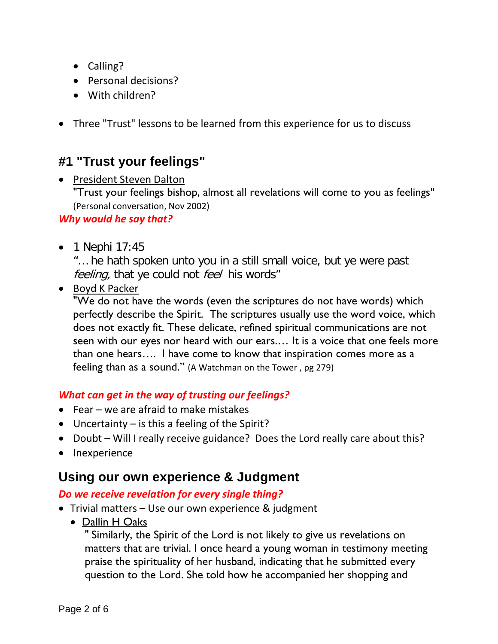- Calling?
- Personal decisions?
- With children?
- Three "Trust" lessons to be learned from this experience for us to discuss

## <span id="page-1-0"></span>**#1 "Trust your feelings"**

• President Steven Dalton

"Trust your feelings bishop, almost all revelations will come to you as feelings" (Personal conversation, Nov 2002)

#### *Why would he say that?*

• 1 Nephi 17:45

"… he hath spoken unto you in a still small voice, but ye were past feeling, that ye could not feel his words"

• Boyd K Packer

"We do not have the words (even the scriptures do not have words) which perfectly describe the Spirit. The scriptures usually use the word voice, which does not exactly fit. These delicate, refined spiritual communications are not seen with our eyes nor heard with our ears.… It is a voice that one feels more than one hears…. I have come to know that inspiration comes more as a feeling than as a sound." (A Watchman on the Tower , pg 279)

### *What can get in the way of trusting our feelings?*

- Fear we are afraid to make mistakes
- Uncertainty is this a feeling of the Spirit?
- Doubt Will I really receive guidance? Does the Lord really care about this?
- Inexperience

## <span id="page-1-1"></span>**Using our own experience & Judgment**

#### *Do we receive revelation for every single thing?*

- Trivial matters Use our own experience & judgment
	- Dallin H Oaks

" Similarly, the Spirit of the Lord is not likely to give us revelations on matters that are trivial. I once heard a young woman in testimony meeting praise the spirituality of her husband, indicating that he submitted every question to the Lord. She told how he accompanied her shopping and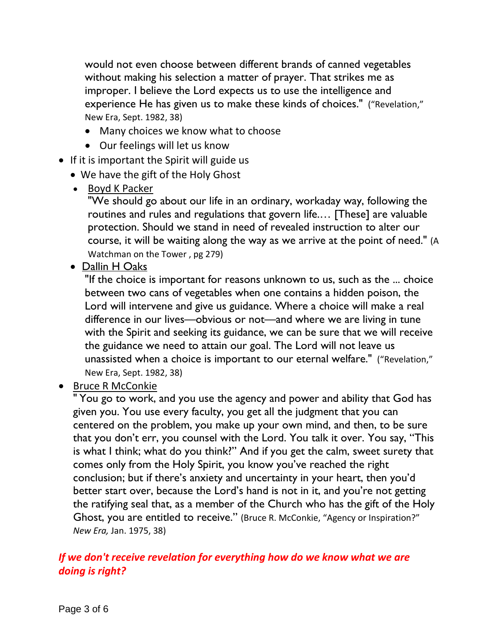would not even choose between different brands of canned vegetables without making his selection a matter of prayer. That strikes me as improper. I believe the Lord expects us to use the intelligence and experience He has given us to make these kinds of choices." ("Revelation," New Era, Sept. 1982, 38)

- Many choices we know what to choose
- Our feelings will let us know
- If it is important the Spirit will guide us
	- We have the gift of the Holy Ghost
	- Boyd K Packer

"We should go about our life in an ordinary, workaday way, following the routines and rules and regulations that govern life.… [These] are valuable protection. Should we stand in need of revealed instruction to alter our course, it will be waiting along the way as we arrive at the point of need." (A Watchman on the Tower , pg 279)

• Dallin H Oaks

"If the choice is important for reasons unknown to us, such as the ... choice between two cans of vegetables when one contains a hidden poison, the Lord will intervene and give us guidance. Where a choice will make a real difference in our lives—obvious or not—and where we are living in tune with the Spirit and seeking its guidance, we can be sure that we will receive the guidance we need to attain our goal. The Lord will not leave us unassisted when a choice is important to our eternal welfare." ("Revelation," New Era, Sept. 1982, 38)

• Bruce R McConkie

" You go to work, and you use the agency and power and ability that God has given you. You use every faculty, you get all the judgment that you can centered on the problem, you make up your own mind, and then, to be sure that you don't err, you counsel with the Lord. You talk it over. You say, "This is what I think; what do you think?" And if you get the calm, sweet surety that comes only from the Holy Spirit, you know you've reached the right conclusion; but if there's anxiety and uncertainty in your heart, then you'd better start over, because the Lord's hand is not in it, and you're not getting the ratifying seal that, as a member of the Church who has the gift of the Holy Ghost, you are entitled to receive." (Bruce R. McConkie, "Agency or Inspiration?" *New Era,* Jan. 1975, 38)

#### *If we don't receive revelation for everything how do we know what we are doing is right?*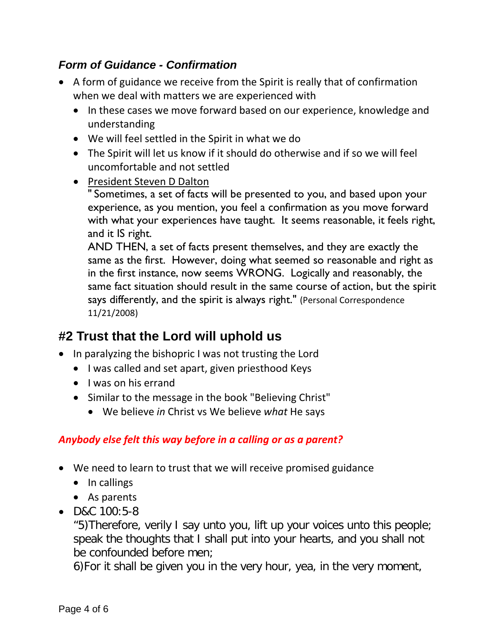## <span id="page-3-0"></span>*Form of Guidance - Confirmation*

- A form of guidance we receive from the Spirit is really that of confirmation when we deal with matters we are experienced with
	- In these cases we move forward based on our experience, knowledge and understanding
	- We will feel settled in the Spirit in what we do
	- The Spirit will let us know if it should do otherwise and if so we will feel uncomfortable and not settled
	- President Steven D Dalton

" Sometimes, a set of facts will be presented to you, and based upon your experience, as you mention, you feel a confirmation as you move forward with what your experiences have taught. It seems reasonable, it feels right, and it IS right.

AND THEN, a set of facts present themselves, and they are exactly the same as the first. However, doing what seemed so reasonable and right as in the first instance, now seems WRONG. Logically and reasonably, the same fact situation should result in the same course of action, but the spirit says differently, and the spirit is always right." (Personal Correspondence 11/21/2008)

## <span id="page-3-1"></span>**#2 Trust that the Lord will uphold us**

- In paralyzing the bishopric I was not trusting the Lord
	- I was called and set apart, given priesthood Keys
	- I was on his errand
	- Similar to the message in the book "Believing Christ"
		- We believe *in* Christ vs We believe *what* He says

### *Anybody else felt this way before in a calling or as a parent?*

- We need to learn to trust that we will receive promised guidance
	- In callings
	- As parents
- D&C 100:5-8

"5)Therefore, verily I say unto you, lift up your voices unto this people; speak the thoughts that I shall put into your hearts, and you shall not be confounded before men;

6)For it shall be given you in the very hour, yea, in the very moment,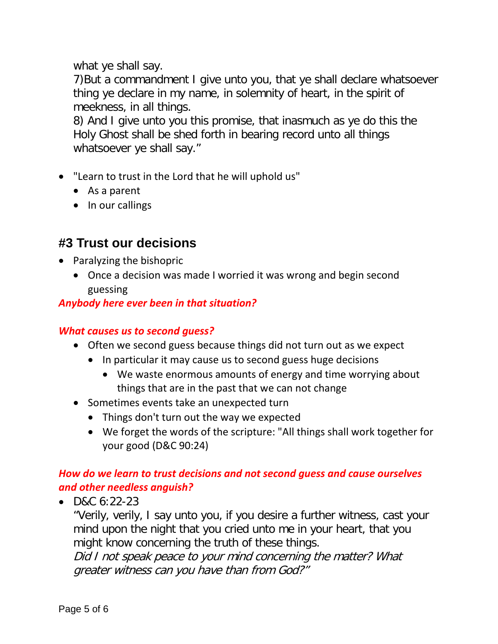what ye shall say.

7)But a commandment I give unto you, that ye shall declare whatsoever thing ye declare in my name, in solemnity of heart, in the spirit of meekness, in all things.

8) And I give unto you this promise, that inasmuch as ye do this the Holy Ghost shall be shed forth in bearing record unto all things whatsoever ye shall say."

- "Learn to trust in the Lord that he will uphold us"
	- As a parent
	- In our callings

## <span id="page-4-0"></span>**#3 Trust our decisions**

- Paralyzing the bishopric
	- Once a decision was made I worried it was wrong and begin second guessing

## *Anybody here ever been in that situation?*

### *What causes us to second guess?*

- Often we second guess because things did not turn out as we expect
	- In particular it may cause us to second guess huge decisions
		- We waste enormous amounts of energy and time worrying about things that are in the past that we can not change
- Sometimes events take an unexpected turn
	- Things don't turn out the way we expected
	- We forget the words of the scripture: "All things shall work together for your good (D&C 90:24)

## *How do we learn to trust decisions and not second guess and cause ourselves and other needless anguish?*

•  $D&C&6:22-23$ 

"Verily, verily, I say unto you, if you desire a further witness, cast your mind upon the night that you cried unto me in your heart, that you might know concerning the truth of these things.

Did I not speak peace to your mind concerning the matter? What greater witness can you have than from God?"